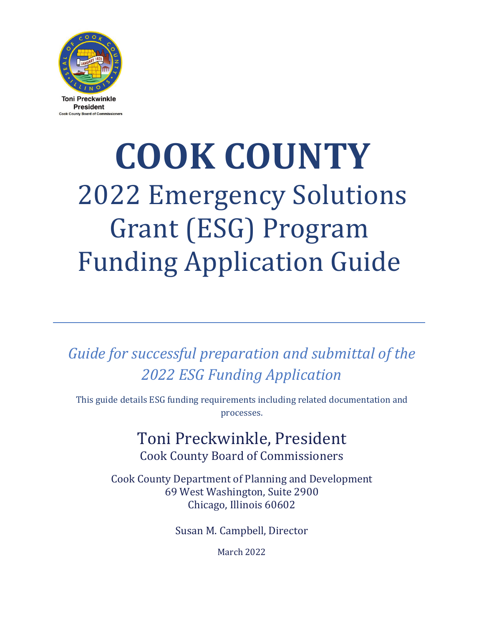

# **COOK COUNTY** 2022 Emergency Solutions Grant (ESG) Program Funding Application Guide

*Guide for successful preparation and submittal of the 2022 ESG Funding Application*

This guide details ESG funding requirements including related documentation and processes.

# Toni Preckwinkle, President Cook County Board of Commissioners

Cook County Department of Planning and Development 69 West Washington, Suite 2900 Chicago, Illinois 60602

Susan M. Campbell, Director

March 2022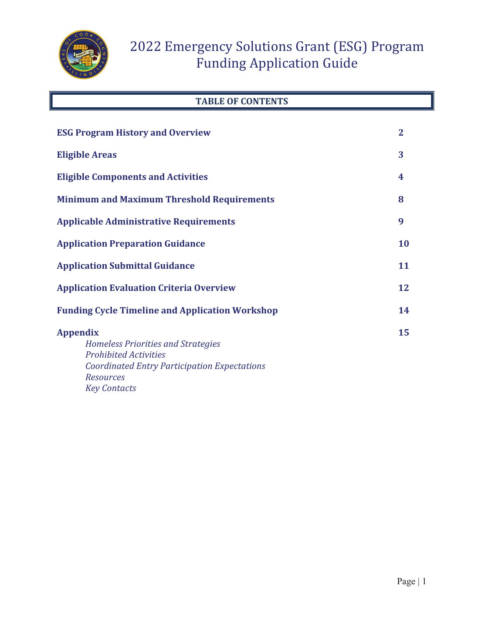

### **TABLE OF CONTENTS**

| <b>ESG Program History and Overview</b>                                                                                                                                                        | $\mathbf{2}$ |
|------------------------------------------------------------------------------------------------------------------------------------------------------------------------------------------------|--------------|
| <b>Eligible Areas</b>                                                                                                                                                                          | 3            |
| <b>Eligible Components and Activities</b>                                                                                                                                                      | 4            |
| <b>Minimum and Maximum Threshold Requirements</b>                                                                                                                                              | 8            |
| <b>Applicable Administrative Requirements</b>                                                                                                                                                  | 9            |
| <b>Application Preparation Guidance</b>                                                                                                                                                        | 10           |
| <b>Application Submittal Guidance</b>                                                                                                                                                          | 11           |
| <b>Application Evaluation Criteria Overview</b>                                                                                                                                                | 12           |
| <b>Funding Cycle Timeline and Application Workshop</b>                                                                                                                                         | 14           |
| <b>Appendix</b><br><b>Homeless Priorities and Strategies</b><br><b>Prohibited Activities</b><br><b>Coordinated Entry Participation Expectations</b><br><b>Resources</b><br><b>Key Contacts</b> | 15           |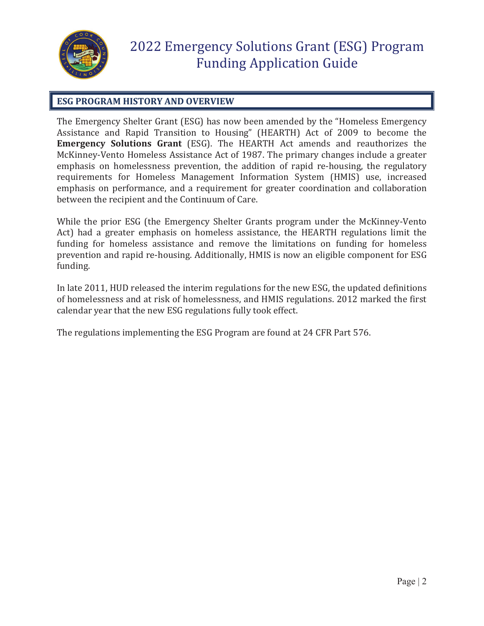

### **ESG PROGRAM HISTORY AND OVERVIEW**

The Emergency Shelter Grant (ESG) has now been amended by the "Homeless Emergency Assistance and Rapid Transition to Housing" (HEARTH) Act of 2009 to become the **Emergency Solutions Grant** (ESG). The HEARTH Act amends and reauthorizes the McKinney-Vento Homeless Assistance Act of 1987. The primary changes include a greater emphasis on homelessness prevention, the addition of rapid re-housing, the regulatory requirements for Homeless Management Information System (HMIS) use, increased emphasis on performance, and a requirement for greater coordination and collaboration between the recipient and the Continuum of Care.

While the prior ESG (the Emergency Shelter Grants program under the McKinney-Vento Act) had a greater emphasis on homeless assistance, the HEARTH regulations limit the funding for homeless assistance and remove the limitations on funding for homeless prevention and rapid re-housing. Additionally, HMIS is now an eligible component for ESG funding.

In late 2011, HUD released the interim regulations for the new ESG, the updated definitions of homelessness and at risk of homelessness, and HMIS regulations. 2012 marked the first calendar year that the new ESG regulations fully took effect.

The regulations implementing the ESG Program are found at 24 CFR Part 576.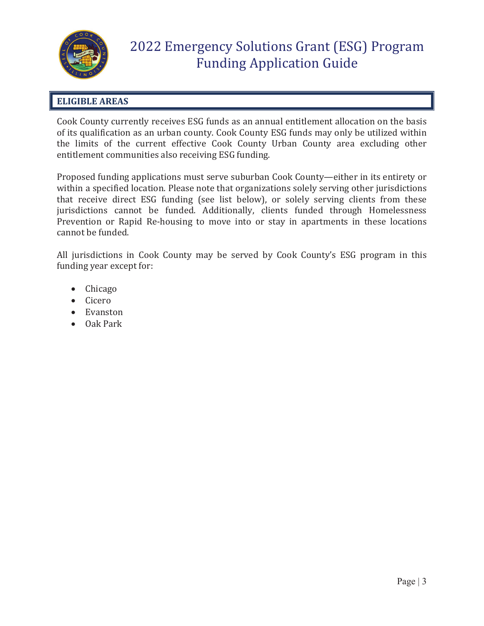

### **ELIGIBLE AREAS**

Cook County currently receives ESG funds as an annual entitlement allocation on the basis of its qualification as an urban county. Cook County ESG funds may only be utilized within the limits of the current effective Cook County Urban County area excluding other entitlement communities also receiving ESG funding.

Proposed funding applications must serve suburban Cook County—either in its entirety or within a specified location. Please note that organizations solely serving other jurisdictions that receive direct ESG funding (see list below), or solely serving clients from these jurisdictions cannot be funded. Additionally, clients funded through Homelessness Prevention or Rapid Re-housing to move into or stay in apartments in these locations cannot be funded.

All jurisdictions in Cook County may be served by Cook County's ESG program in this funding year except for:

- $\bullet$  Chicago
- $\bullet$  Cicero
- Evanston
- $\bullet$  Oak Park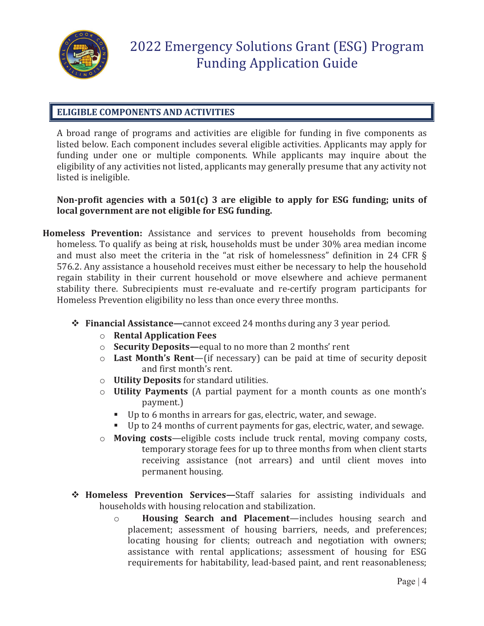

#### **ELIGIBLE COMPONENTS AND ACTIVITIES**

A broad range of programs and activities are eligible for funding in five components as listed below. Each component includes several eligible activities. Applicants may apply for funding under one or multiple components. While applicants may inquire about the eligibility of any activities not listed, applicants may generally presume that any activity not listed is ineligible.

#### **Non-profit agencies with a 501(c) 3 are eligible to apply for ESG funding; units of local government are not eligible for ESG funding.**

- **Homeless Prevention:** Assistance and services to prevent households from becoming homeless. To qualify as being at risk, households must be under 30% area median income and must also meet the criteria in the "at risk of homelessness" definition in 24 CFR § 576.2. Any assistance a household receives must either be necessary to help the household regain stability in their current household or move elsewhere and achieve permanent stability there. Subrecipients must re-evaluate and re-certify program participants for Homeless Prevention eligibility no less than once every three months.
	- **Financial Assistance—**cannot exceed 24 months during any 3 year period.
		- o **Rental Application Fees**
		- o **Security Deposits—**equal to no more than 2 months' rent
		- o **Last Month's Rent**—(if necessary) can be paid at time of security deposit and first month's rent.
		- o **Utility Deposits** for standard utilities.
		- o **Utility Payments** (A partial payment for a month counts as one month's payment.)
			- Up to 6 months in arrears for gas, electric, water, and sewage.
			- Up to 24 months of current payments for gas, electric, water, and sewage.
		- o **Moving costs**—eligible costs include truck rental, moving company costs, temporary storage fees for up to three months from when client starts receiving assistance (not arrears) and until client moves into permanent housing.
	- **Homeless Prevention Services—**Staff salaries for assisting individuals and households with housing relocation and stabilization.
		- o **Housing Search and Placement**—includes housing search and placement; assessment of housing barriers, needs, and preferences; locating housing for clients; outreach and negotiation with owners; assistance with rental applications; assessment of housing for ESG requirements for habitability, lead-based paint, and rent reasonableness;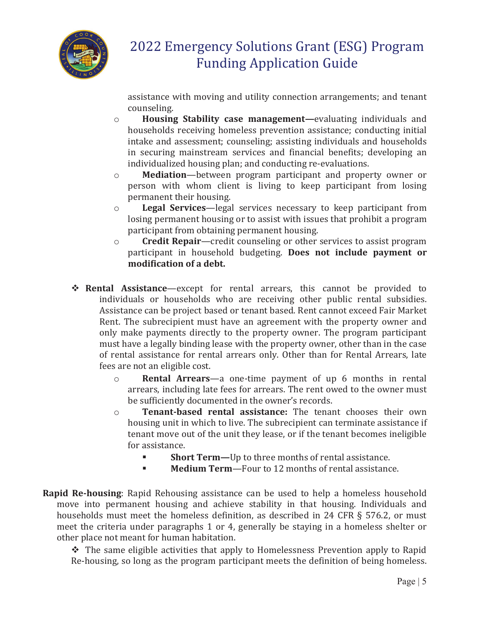

assistance with moving and utility connection arrangements; and tenant counseling.

- o **Housing Stability case management—**evaluating individuals and households receiving homeless prevention assistance; conducting initial intake and assessment; counseling; assisting individuals and households in securing mainstream services and financial benefits; developing an individualized housing plan; and conducting re-evaluations.
- o **Mediation**—between program participant and property owner or person with whom client is living to keep participant from losing permanent their housing.
- o **Legal Services**—legal services necessary to keep participant from losing permanent housing or to assist with issues that prohibit a program participant from obtaining permanent housing.
- o **Credit Repair**—credit counseling or other services to assist program participant in household budgeting. **Does not include payment or modification of a debt.**
- **Rental Assistance**—except for rental arrears, this cannot be provided to individuals or households who are receiving other public rental subsidies. Assistance can be project based or tenant based. Rent cannot exceed Fair Market Rent. The subrecipient must have an agreement with the property owner and only make payments directly to the property owner. The program participant must have a legally binding lease with the property owner, other than in the case of rental assistance for rental arrears only. Other than for Rental Arrears, late fees are not an eligible cost.
	- o **Rental Arrears**—a one-time payment of up 6 months in rental arrears, including late fees for arrears. The rent owed to the owner must be sufficiently documented in the owner's records.
	- o **Tenant-based rental assistance:** The tenant chooses their own housing unit in which to live. The subrecipient can terminate assistance if tenant move out of the unit they lease, or if the tenant becomes ineligible for assistance.
		- **Short Term—**Up to three months of rental assistance.
		- **Medium Term**—Four to 12 months of rental assistance.
- **Rapid Re-housing**: Rapid Rehousing assistance can be used to help a homeless household move into permanent housing and achieve stability in that housing. Individuals and households must meet the homeless definition, as described in 24 CFR § 576.2, or must meet the criteria under paragraphs 1 or 4, generally be staying in a homeless shelter or other place not meant for human habitation.

 The same eligible activities that apply to Homelessness Prevention apply to Rapid Re-housing, so long as the program participant meets the definition of being homeless.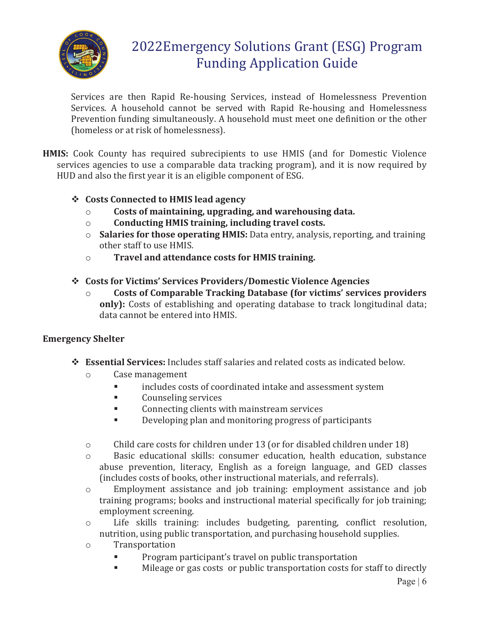

Services are then Rapid Re-housing Services, instead of Homelessness Prevention Services. A household cannot be served with Rapid Re-housing and Homelessness Prevention funding simultaneously. A household must meet one definition or the other (homeless or at risk of homelessness).

**HMIS:** Cook County has required subrecipients to use HMIS (and for Domestic Violence services agencies to use a comparable data tracking program), and it is now required by HUD and also the first year it is an eligible component of ESG.

### **Costs Connected to HMIS lead agency**

- o **Costs of maintaining, upgrading, and warehousing data.**
- o **Conducting HMIS training, including travel costs.**
- o **Salaries for those operating HMIS:** Data entry, analysis, reporting, and training other staff to use HMIS.
- o **Travel and attendance costs for HMIS training.**
- **Costs for Victims' Services Providers/Domestic Violence Agencies** 
	- o **Costs of Comparable Tracking Database (for victims' services providers only):** Costs of establishing and operating database to track longitudinal data; data cannot be entered into HMIS.

### **Emergency Shelter**

- **Essential Services:** Includes staff salaries and related costs as indicated below.
	- o Case management
		- includes costs of coordinated intake and assessment system
		- **Counseling services**
		- **EXECONDER** Connecting clients with mainstream services
		- Developing plan and monitoring progress of participants
	- o Child care costs for children under 13 (or for disabled children under 18)
	- o Basic educational skills: consumer education, health education, substance abuse prevention, literacy, English as a foreign language, and GED classes (includes costs of books, other instructional materials, and referrals).
	- o Employment assistance and job training: employment assistance and job training programs; books and instructional material specifically for job training; employment screening.
	- o Life skills training: includes budgeting, parenting, conflict resolution, nutrition, using public transportation, and purchasing household supplies.
	- o Transportation
		- **Program participant's travel on public transportation**
		- Mileage or gas costs or public transportation costs for staff to directly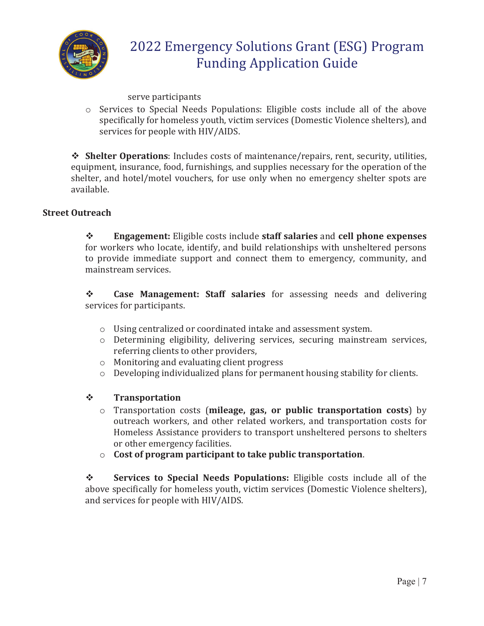

serve participants

o Services to Special Needs Populations: Eligible costs include all of the above specifically for homeless youth, victim services (Domestic Violence shelters), and services for people with HIV/AIDS.

 **Shelter Operations**: Includes costs of maintenance/repairs, rent, security, utilities, equipment, insurance, food, furnishings, and supplies necessary for the operation of the shelter, and hotel/motel vouchers, for use only when no emergency shelter spots are available.

#### **Street Outreach**

 **Engagement:** Eligible costs include **staff salaries** and **cell phone expenses** for workers who locate, identify, and build relationships with unsheltered persons to provide immediate support and connect them to emergency, community, and mainstream services.

 **Case Management: Staff salaries** for assessing needs and delivering services for participants.

- o Using centralized or coordinated intake and assessment system.
- o Determining eligibility, delivering services, securing mainstream services, referring clients to other providers,
- o Monitoring and evaluating client progress
- o Developing individualized plans for permanent housing stability for clients.
- **Transportation** 
	- o Transportation costs (**mileage, gas, or public transportation costs**) by outreach workers, and other related workers, and transportation costs for Homeless Assistance providers to transport unsheltered persons to shelters or other emergency facilities.
	- o **Cost of program participant to take public transportation**.

 **Services to Special Needs Populations:** Eligible costs include all of the above specifically for homeless youth, victim services (Domestic Violence shelters), and services for people with HIV/AIDS.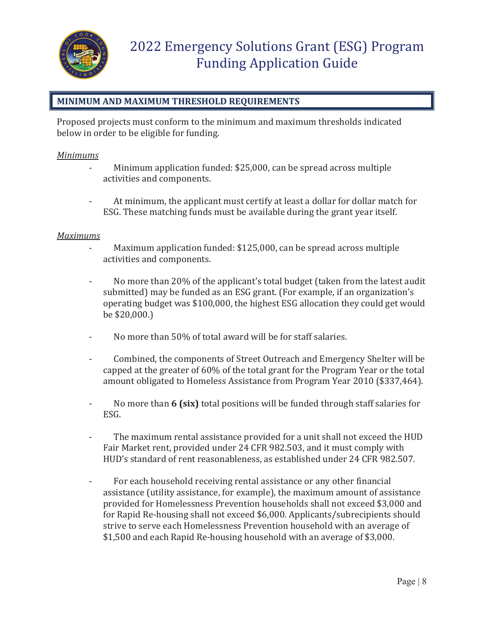

### **MINIMUM AND MAXIMUM THRESHOLD REQUIREMENTS**

Proposed projects must conform to the minimum and maximum thresholds indicated below in order to be eligible for funding.

#### *Minimums*

- Minimum application funded: \$25,000, can be spread across multiple activities and components.
- At minimum, the applicant must certify at least a dollar for dollar match for ESG. These matching funds must be available during the grant year itself.

#### *Maximums*

- Maximum application funded: \$125,000, can be spread across multiple activities and components.
- No more than 20% of the applicant's total budget (taken from the latest audit submitted) may be funded as an ESG grant. (For example, if an organization's operating budget was \$100,000, the highest ESG allocation they could get would be \$20,000.)
- No more than 50% of total award will be for staff salaries.
- Combined, the components of Street Outreach and Emergency Shelter will be capped at the greater of 60% of the total grant for the Program Year or the total amount obligated to Homeless Assistance from Program Year 2010 (\$337,464).
- No more than **6 (six)** total positions will be funded through staff salaries for ESG.
- The maximum rental assistance provided for a unit shall not exceed the HUD Fair Market rent, provided under 24 CFR 982.503, and it must comply with HUD's standard of rent reasonableness, as established under 24 CFR 982.507.
- For each household receiving rental assistance or any other financial assistance (utility assistance, for example), the maximum amount of assistance provided for Homelessness Prevention households shall not exceed \$3,000 and for Rapid Re-housing shall not exceed \$6,000. Applicants/subrecipients should strive to serve each Homelessness Prevention household with an average of \$1,500 and each Rapid Re-housing household with an average of \$3,000.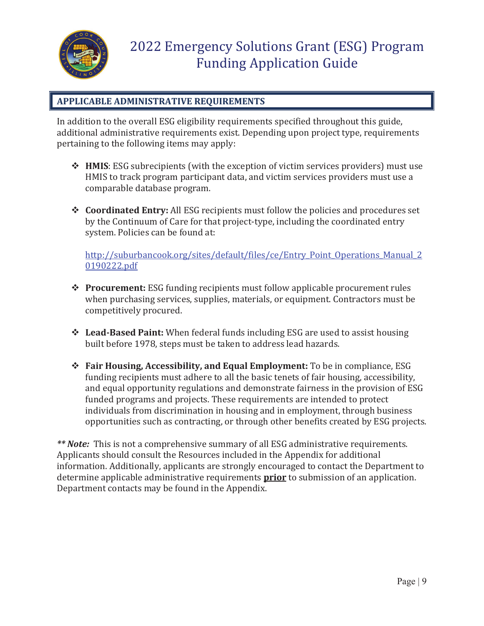

### **APPLICABLE ADMINISTRATIVE REQUIREMENTS**

In addition to the overall ESG eligibility requirements specified throughout this guide, additional administrative requirements exist. Depending upon project type, requirements pertaining to the following items may apply:

- **HMIS**: ESG subrecipients (with the exception of victim services providers) must use HMIS to track program participant data, and victim services providers must use a comparable database program.
- **Coordinated Entry:** All ESG recipients must follow the policies and procedures set by the Continuum of Care for that project-type, including the coordinated entry system. Policies can be found at:

http://suburbancook.org/sites/default/files/ce/Entry\_Point\_Operations\_Manual\_2\_ 0190222.pdf

- **Procurement:** ESG funding recipients must follow applicable procurement rules when purchasing services, supplies, materials, or equipment. Contractors must be competitively procured.
- **Lead-Based Paint:** When federal funds including ESG are used to assist housing built before 1978, steps must be taken to address lead hazards.
- **Fair Housing, Accessibility, and Equal Employment:** To be in compliance, ESG funding recipients must adhere to all the basic tenets of fair housing, accessibility, and equal opportunity regulations and demonstrate fairness in the provision of ESG funded programs and projects. These requirements are intended to protect individuals from discrimination in housing and in employment, through business opportunities such as contracting, or through other benefits created by ESG projects.

*\*\* Note:* This is not a comprehensive summary of all ESG administrative requirements. Applicants should consult the Resources included in the Appendix for additional information. Additionally, applicants are strongly encouraged to contact the Department to determine applicable administrative requirements **prior** to submission of an application. Department contacts may be found in the Appendix.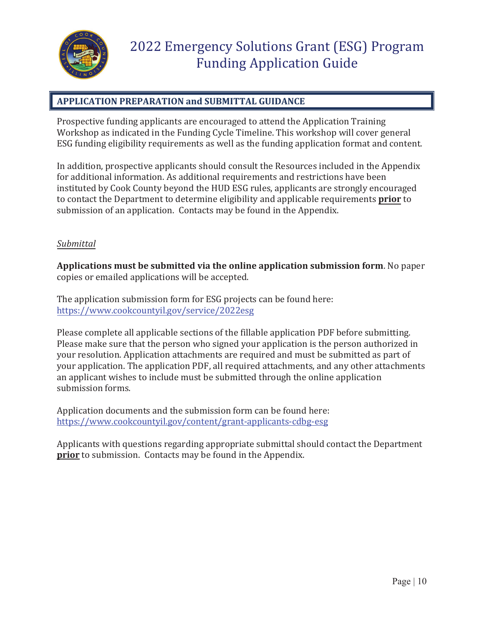

### **APPLICATION PREPARATION and SUBMITTAL GUIDANCE**

Prospective funding applicants are encouraged to attend the Application Training Workshop as indicated in the Funding Cycle Timeline. This workshop will cover general ESG funding eligibility requirements as well as the funding application format and content.

In addition, prospective applicants should consult the Resources included in the Appendix for additional information. As additional requirements and restrictions have been instituted by Cook County beyond the HUD ESG rules, applicants are strongly encouraged to contact the Department to determine eligibility and applicable requirements **prior** to submission of an application. Contacts may be found in the Appendix.

#### *Submittal*

**Applications must be submitted via the online application submission form**. No paper copies or emailed applications will be accepted.

The application submission form for ESG projects can be found here: https://www.cookcountyil.gov/service/2022esg

Please complete all applicable sections of the fillable application PDF before submitting. Please make sure that the person who signed your application is the person authorized in your resolution. Application attachments are required and must be submitted as part of your application. The application PDF, all required attachments, and any other attachments an applicant wishes to include must be submitted through the online application submission forms.

Application documents and the submission form can be found here: https://www.cookcountyil.gov/content/grant-applicants-cdbg-esg

Applicants with questions regarding appropriate submittal should contact the Department **prior** to submission. Contacts may be found in the Appendix.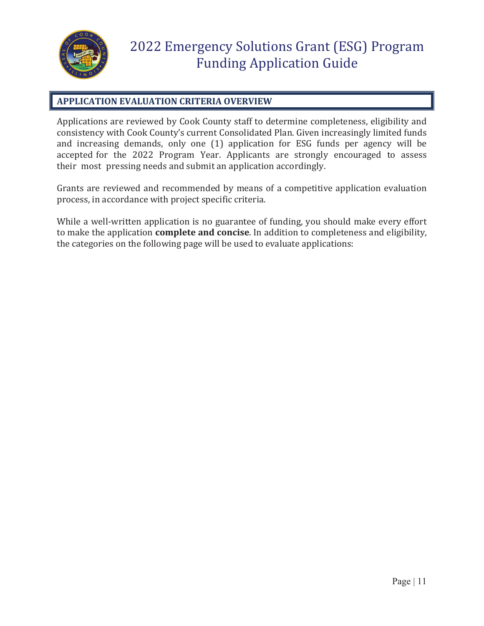

### **APPLICATION EVALUATION CRITERIA OVERVIEW**

Applications are reviewed by Cook County staff to determine completeness, eligibility and consistency with Cook County's current Consolidated Plan. Given increasingly limited funds and increasing demands, only one (1) application for ESG funds per agency will be accepted for the 2022 Program Year. Applicants are strongly encouraged to assess their most pressing needs and submit an application accordingly.

Grants are reviewed and recommended by means of a competitive application evaluation process, in accordance with project specific criteria.

While a well-written application is no guarantee of funding, you should make every effort to make the application **complete and concise**. In addition to completeness and eligibility, the categories on the following page will be used to evaluate applications: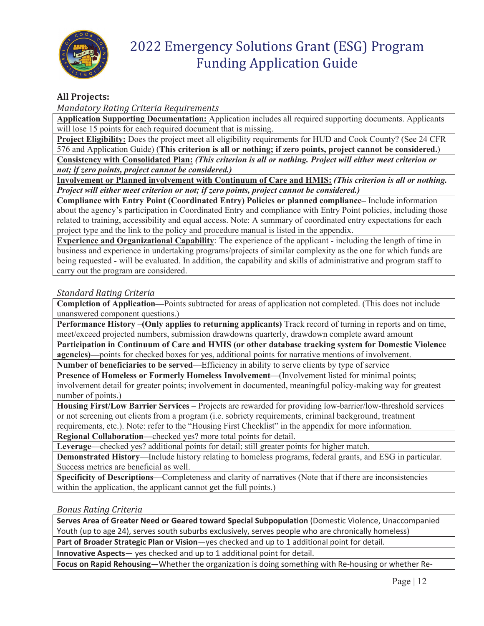

#### **All Projects:**

*Mandatory Rating Criteria Requirements* 

**Application Supporting Documentation:** Application includes all required supporting documents. Applicants will lose 15 points for each required document that is missing.

**Project Eligibility:** Does the project meet all eligibility requirements for HUD and Cook County? (See 24 CFR 576 and Application Guide) (**This criterion is all or nothing; if zero points, project cannot be considered.**)

**Consistency with Consolidated Plan:** *(This criterion is all or nothing. Project will either meet criterion or not; if zero points, project cannot be considered.)* 

**Involvement or Planned involvement with Continuum of Care and HMIS:** *(This criterion is all or nothing. Project will either meet criterion or not; if zero points, project cannot be considered.)*

**Compliance with Entry Point (Coordinated Entry) Policies or planned compliance–** Include information about the agency's participation in Coordinated Entry and compliance with Entry Point policies, including those related to training, accessibility and equal access. Note: A summary of coordinated entry expectations for each project type and the link to the policy and procedure manual is listed in the appendix.

**Experience and Organizational Capability**: The experience of the applicant - including the length of time in business and experience in undertaking programs/projects of similar complexity as the one for which funds are being requested - will be evaluated. In addition, the capability and skills of administrative and program staff to carry out the program are considered.

#### *Standard Rating Criteria*

**Completion of Application—**Points subtracted for areas of application not completed. (This does not include unanswered component questions.)

**Performance History** –**(Only applies to returning applicants)** Track record of turning in reports and on time, meet/exceed projected numbers, submission drawdowns quarterly, drawdown complete award amount

**Participation in Continuum of Care and HMIS (or other database tracking system for Domestic Violence agencies)—**points for checked boxes for yes, additional points for narrative mentions of involvement.

**Number of beneficiaries to be served**—Efficiency in ability to serve clients by type of service

**Presence of Homeless or Formerly Homeless Involvement**—(Involvement listed for minimal points; involvement detail for greater points; involvement in documented, meaningful policy-making way for greatest number of points.)

**Housing First/Low Barrier Services –** Projects are rewarded for providing low-barrier/low-threshold services or not screening out clients from a program (i.e. sobriety requirements, criminal background, treatment requirements, etc.). Note: refer to the "Housing First Checklist" in the appendix for more information.

**Regional Collaboration—**checked yes? more total points for detail.

**Leverage**—checked yes? additional points for detail; still greater points for higher match.

**Demonstrated History**—Include history relating to homeless programs, federal grants, and ESG in particular. Success metrics are beneficial as well.

**Specificity of Descriptions—**Completeness and clarity of narratives (Note that if there are inconsistencies within the application, the applicant cannot get the full points.)

#### *Bonus Rating Criteria*

**Serves Area of Greater Need or Geared toward Special Subpopulation** (Domestic Violence, Unaccompanied Youth (up to age 24), serves south suburbs exclusively, serves people who are chronically homeless)

**Part of Broader Strategic Plan or Vision**—yes checked and up to 1 additional point for detail.

**Innovative Aspects**— yes checked and up to 1 additional point for detail.

**Focus on Rapid Rehousing—**Whether the organization is doing something with Re-housing or whether Re-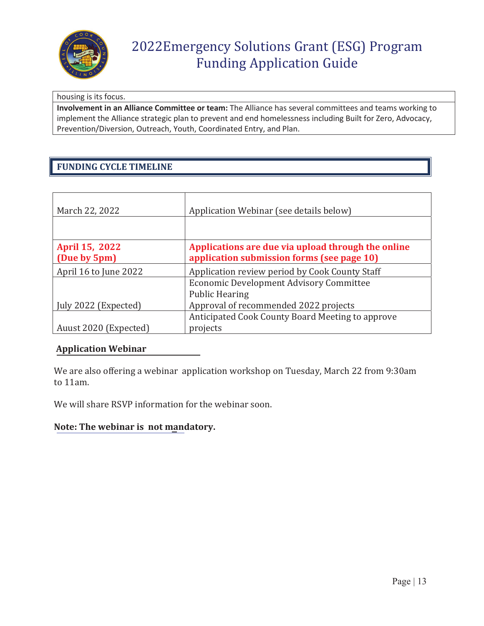

#### housing is its focus.

**Involvement in an Alliance Committee or team:** The Alliance has several committees and teams working to implement the Alliance strategic plan to prevent and end homelessness including Built for Zero, Advocacy, Prevention/Diversion, Outreach, Youth, Coordinated Entry, and Plan.

# **FUNDING CYCLE TIMELINE**

| March 22, 2022                 | Application Webinar (see details below)                                                          |
|--------------------------------|--------------------------------------------------------------------------------------------------|
|                                |                                                                                                  |
| April 15, 2022<br>(Due by 5pm) | Applications are due via upload through the online<br>application submission forms (see page 10) |
| April 16 to June 2022          | Application review period by Cook County Staff                                                   |
|                                | <b>Economic Development Advisory Committee</b>                                                   |
|                                | <b>Public Hearing</b>                                                                            |
| July 2022 (Expected)           | Approval of recommended 2022 projects                                                            |
|                                | Anticipated Cook County Board Meeting to approve                                                 |
| Auust 2020 (Expected)          | projects                                                                                         |

#### **Application Webinar**

We are also offering a webinar application workshop on Tuesday, March 22 from 9:30am to 11am.

We will share RSVP information for the webinar soon.

#### **Note: The webinar is not mandatory.**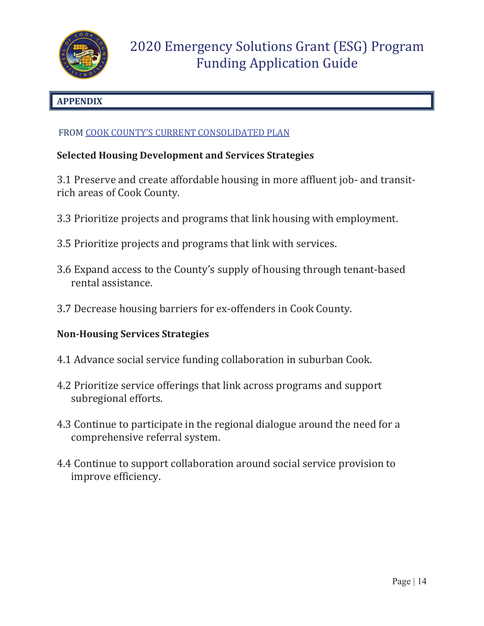

# **APPENDIX**

### FROM COOK COUNTY'S CURRENT CONSOLIDATED PLAN

# **Selected Housing Development and Services Strategies**

3.1 Preserve and create affordable housing in more affluent job- and transitrich areas of Cook County.

- 3.3 Prioritize projects and programs that link housing with employment.
- 3.5 Prioritize projects and programs that link with services.
- 3.6 Expand access to the County's supply of housing through tenant-based rental assistance.
- 3.7 Decrease housing barriers for ex-offenders in Cook County.

# **Non-Housing Services Strategies**

- 4.1 Advance social service funding collaboration in suburban Cook.
- 4.2 Prioritize service offerings that link across programs and support subregional efforts.
- 4.3 Continue to participate in the regional dialogue around the need for a comprehensive referral system.
- 4.4 Continue to support collaboration around social service provision to improve efficiency.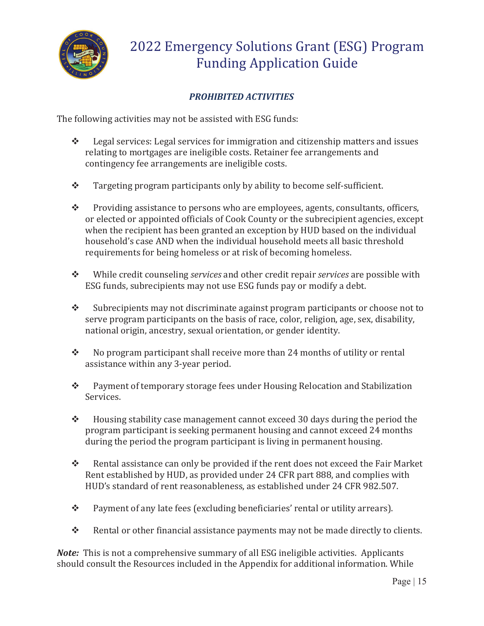

# *PROHIBITED ACTIVITIES*

The following activities may not be assisted with ESG funds:

- $\triangle$  Legal services: Legal services for immigration and citizenship matters and issues relating to mortgages are ineligible costs. Retainer fee arrangements and contingency fee arrangements are ineligible costs.
- \* Targeting program participants only by ability to become self-sufficient.
- \* Providing assistance to persons who are employees, agents, consultants, officers, or elected or appointed officials of Cook County or the subrecipient agencies, except when the recipient has been granted an exception by HUD based on the individual household's case AND when the individual household meets all basic threshold requirements for being homeless or at risk of becoming homeless.
- While credit counseling *services* and other credit repair *services* are possible with ESG funds, subrecipients may not use ESG funds pay or modify a debt.
- $\bullet$  Subrecipients may not discriminate against program participants or choose not to serve program participants on the basis of race, color, religion, age, sex, disability, national origin, ancestry, sexual orientation, or gender identity.
- $\bullet$  No program participant shall receive more than 24 months of utility or rental assistance within any 3-year period.
- \* Payment of temporary storage fees under Housing Relocation and Stabilization Services.
- $\cdot \cdot$  Housing stability case management cannot exceed 30 days during the period the program participant is seeking permanent housing and cannot exceed 24 months during the period the program participant is living in permanent housing.
- $\bullet$  Rental assistance can only be provided if the rent does not exceed the Fair Market Rent established by HUD, as provided under 24 CFR part 888, and complies with HUD's standard of rent reasonableness, as established under 24 CFR 982.507.
- \* Payment of any late fees (excluding beneficiaries' rental or utility arrears).
- \* Rental or other financial assistance payments may not be made directly to clients.

*Note:* This is not a comprehensive summary of all ESG ineligible activities. Applicants should consult the Resources included in the Appendix for additional information. While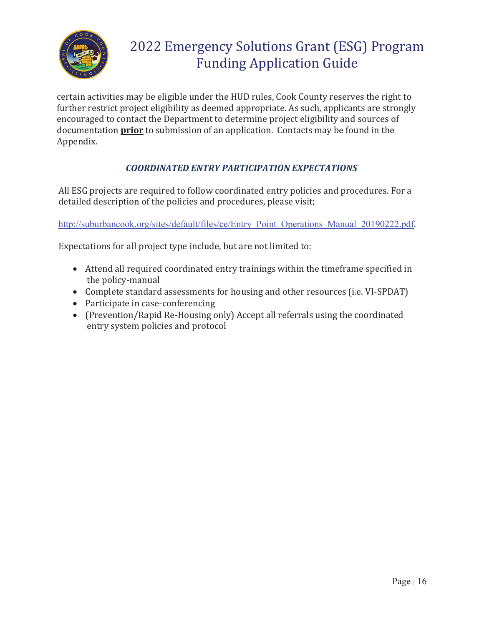

certain activities may be eligible under the HUD rules, Cook County reserves the right to further restrict project eligibility as deemed appropriate. As such, applicants are strongly encouraged to contact the Department to determine project eligibility and sources of documentation **prior** to submission of an application. Contacts may be found in the Appendix.

### *COORDINATED ENTRY PARTICIPATION EXPECTATIONS*

All ESG projects are required to follow coordinated entry policies and procedures. For a detailed description of the policies and procedures, please visit;

http://suburbancook.org/sites/default/files/ce/Entry\_Point\_Operations\_Manual\_20190222.pdf.

Expectations for all project type include, but are not limited to:

- Attend all required coordinated entry trainings within the timeframe specified in the policy-manual
- Complete standard assessments for housing and other resources (i.e. VI-SPDAT)
- Participate in case-conferencing
- (Prevention/Rapid Re-Housing only) Accept all referrals using the coordinated entry system policies and protocol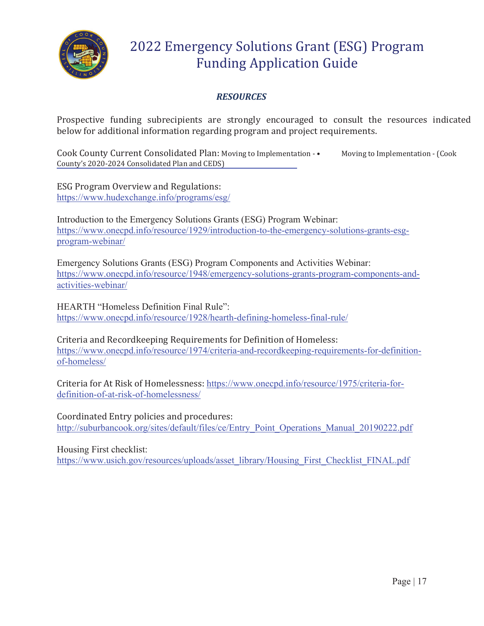

### *RESOURCES*

Prospective funding subrecipients are strongly encouraged to consult the resources indicated below for additional information regarding program and project requirements.

Cook County Current Consolidated Plan: Moving to Implementation - • Moving to Implementation - (Cook County's 2020-2024 Consolidated Plan and CEDS)

ESG Program Overview and Regulations: https://www.hudexchange.info/programs/esg/

Introduction to the Emergency Solutions Grants (ESG) Program Webinar: https://www.onecpd.info/resource/1929/introduction-to-the-emergency-solutions-grants-esgprogram-webinar/

Emergency Solutions Grants (ESG) Program Components and Activities Webinar: https://www.onecpd.info/resource/1948/emergency-solutions-grants-program-components-andactivities-webinar/

HEARTH "Homeless Definition Final Rule": https://www.onecpd.info/resource/1928/hearth-defining-homeless-final-rule/

Criteria and Recordkeeping Requirements for Definition of Homeless: https://www.onecpd.info/resource/1974/criteria-and-recordkeeping-requirements-for-definitionof-homeless/

Criteria for At Risk of Homelessness: https://www.onecpd.info/resource/1975/criteria-fordefinition-of-at-risk-of-homelessness/

Coordinated Entry policies and procedures: http://suburbancook.org/sites/default/files/ce/Entry\_Point\_Operations\_Manual\_20190222.pdf

Housing First checklist:

https://www.usich.gov/resources/uploads/asset\_library/Housing\_First\_Checklist\_FINAL.pdf